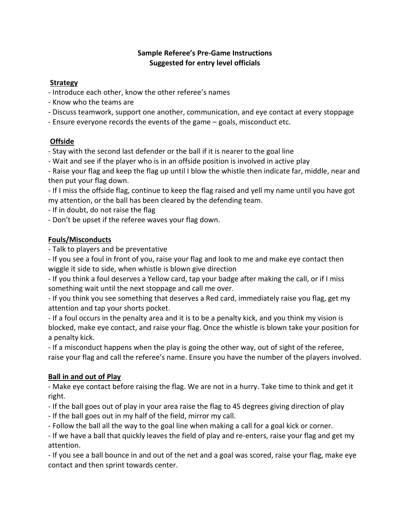### **Sample Referee's Pre-Game Instructions Suggested for entry level officials**

### **Strategy**

- Introduce each other, know the other referee's names
- Know who the teams are
- Discuss teamwork, support one another, communication, and eye contact at every stoppage
- Ensure everyone records the events of the game goals, misconduct etc.

# **Offside**

- Stay with the second last defender or the ball if it is nearer to the goal line

- Wait and see if the player who is in an offside position is involved in active play

- Raise your flag and keep the flag up until I blow the whistle then indicate far, middle, near and then put your flag down.

- If I miss the offside flag, continue to keep the flag raised and yell my name until you have got my attention, or the ball has been cleared by the defending team.

- If in doubt, do not raise the flag

- Don't be upset if the referee waves your flag down.

# **Fouls/Misconducts**

- Talk to players and be preventative

- If you see a foul in front of you, raise your flag and look to me and make eye contact then wiggle it side to side, when whistle is blown give direction

- If you think a foul deserves a Yellow card, tap your badge after making the call, or if I miss something wait until the next stoppage and call me over.

- If you think you see something that deserves a Red card, immediately raise you flag, get my attention and tap your shorts pocket.

- If a foul occurs in the penalty area and it is to be a penalty kick, and you think my vision is blocked, make eye contact, and raise your flag. Once the whistle is blown take your position for a penalty kick.

- If a misconduct happens when the play is going the other way, out of sight of the referee, raise your flag and call the referee's name. Ensure you have the number of the players involved.

# **Ball in and out of Play**

- Make eye contact before raising the flag. We are not in a hurry. Take time to think and get it right.

- If the ball goes out of play in your area raise the flag to 45 degrees giving direction of play
- If the ball goes out in my half of the field, mirror my call.
- Follow the ball all the way to the goal line when making a call for a goal kick or corner.

- If we have a ball that quickly leaves the field of play and re-enters, raise your flag and get my attention.

- If you see a ball bounce in and out of the net and a goal was scored, raise your flag, make eye contact and then sprint towards center.